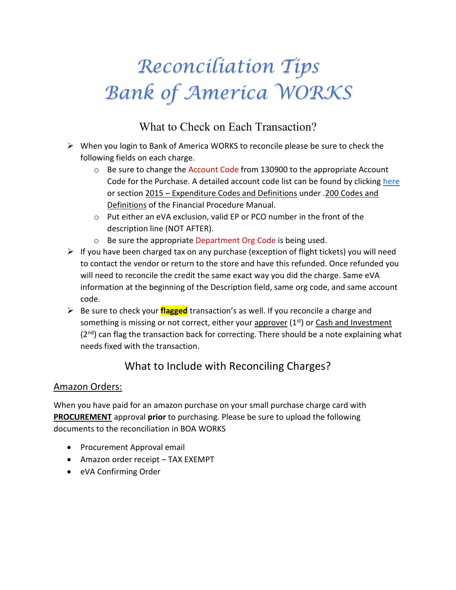# *Reconciliation Tips Bank of America WORKS*

What to Check on Each Transaction?

- $\triangleright$  When you login to Bank of America WORKS to reconcile please be sure to check the following fields on each charge.
	- $\circ$  Be sure to change the Account Code from 130900 to the appropriate Account Code for the Purchase. A detailed account code list can be found by clicking [here](https://www.jmu.edu/financeoffice/_files/avp-finance-files/expensecode_listing.pdf) or section 2015 – Expenditure Codes and Definitions under .200 Codes and Definitions of the Financial Procedure Manual.
	- o Put either an eVA exclusion, valid EP or PCO number in the front of the description line (NOT AFTER).
	- o Be sure the appropriate Department Org Code is being used.
- $\triangleright$  If you have been charged tax on any purchase (exception of flight tickets) you will need to contact the vendor or return to the store and have this refunded. Once refunded you will need to reconcile the credit the same exact way you did the charge. Same eVA information at the beginning of the Description field, same org code, and same account code.
- Be sure to check your **flagged** transaction's as well. If you reconcile a charge and something is missing or not correct, either your approver  $(1<sup>st</sup>)$  or Cash and Investment (2<sup>nd</sup>) can flag the transaction back for correcting. There should be a note explaining what needs fixed with the transaction.

# What to Include with Reconciling Charges?

# Amazon Orders:

When you have paid for an amazon purchase on your small purchase charge card with **PROCUREMENT** approval **prior** to purchasing. Please be sure to upload the following documents to the reconciliation in BOA WORKS

- Procurement Approval email
- Amazon order receipt TAX EXEMPT
- eVA Confirming Order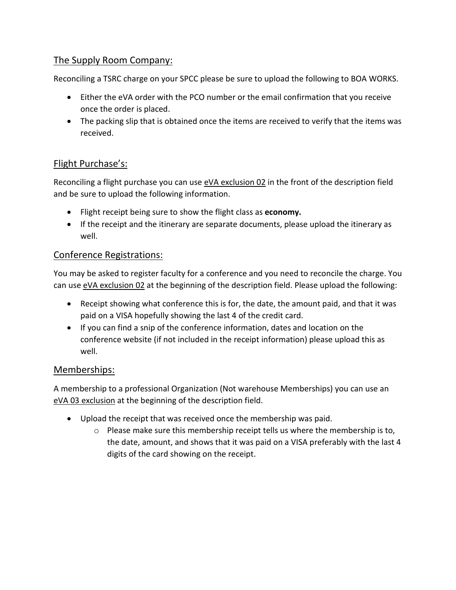# The Supply Room Company:

Reconciling a TSRC charge on your SPCC please be sure to upload the following to BOA WORKS.

- Either the eVA order with the PCO number or the email confirmation that you receive once the order is placed.
- The packing slip that is obtained once the items are received to verify that the items was received.

# Flight Purchase's:

Reconciling a flight purchase you can use eVA exclusion 02 in the front of the description field and be sure to upload the following information.

- Flight receipt being sure to show the flight class as **economy.**
- If the receipt and the itinerary are separate documents, please upload the itinerary as well.

# Conference Registrations:

You may be asked to register faculty for a conference and you need to reconcile the charge. You can use eVA exclusion 02 at the beginning of the description field. Please upload the following:

- Receipt showing what conference this is for, the date, the amount paid, and that it was paid on a VISA hopefully showing the last 4 of the credit card.
- If you can find a snip of the conference information, dates and location on the conference website (if not included in the receipt information) please upload this as well.

### Memberships:

A membership to a professional Organization (Not warehouse Memberships) you can use an eVA 03 exclusion at the beginning of the description field.

- Upload the receipt that was received once the membership was paid.
	- $\circ$  Please make sure this membership receipt tells us where the membership is to, the date, amount, and shows that it was paid on a VISA preferably with the last 4 digits of the card showing on the receipt.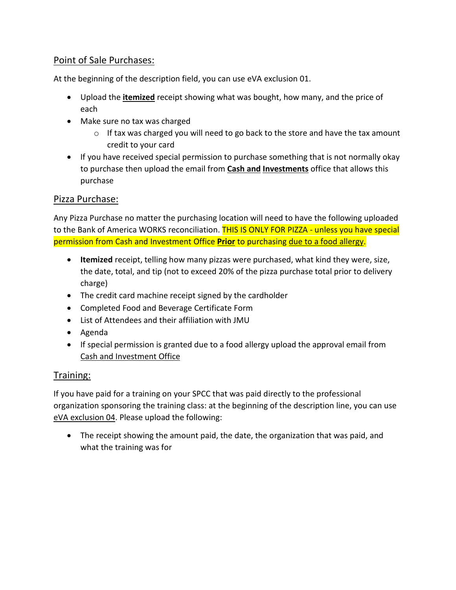# Point of Sale Purchases:

At the beginning of the description field, you can use eVA exclusion 01.

- Upload the **itemized** receipt showing what was bought, how many, and the price of each
- Make sure no tax was charged
	- $\circ$  If tax was charged you will need to go back to the store and have the tax amount credit to your card
- If you have received special permission to purchase something that is not normally okay to purchase then upload the email from **Cash and Investments** office that allows this purchase

# Pizza Purchase:

Any Pizza Purchase no matter the purchasing location will need to have the following uploaded to the Bank of America WORKS reconciliation. THIS IS ONLY FOR PIZZA - unless you have special permission from Cash and Investment Office **Prior** to purchasing due to a food allergy.

- **Itemized** receipt, telling how many pizzas were purchased, what kind they were, size, the date, total, and tip (not to exceed 20% of the pizza purchase total prior to delivery charge)
- The credit card machine receipt signed by the cardholder
- Completed Food and Beverage Certificate Form
- List of Attendees and their affiliation with JMU
- Agenda
- If special permission is granted due to a food allergy upload the approval email from Cash and Investment Office

# Training:

If you have paid for a training on your SPCC that was paid directly to the professional organization sponsoring the training class: at the beginning of the description line, you can use eVA exclusion 04. Please upload the following:

• The receipt showing the amount paid, the date, the organization that was paid, and what the training was for